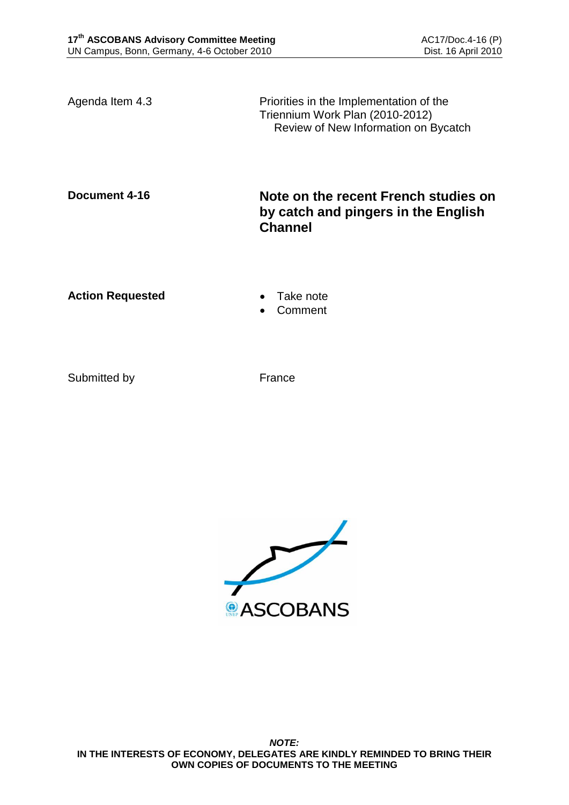Agenda Item 4.3 Priorities in the Implementation of the Triennium Work Plan (2010-2012) Review of New Information on Bycatch

**Document 4-16 Note on the recent French studies on by catch and pingers in the English Channel**

Action Requested **Canadian Exercise Action Requested Canadian Exercise** 

Comment

Submitted by France

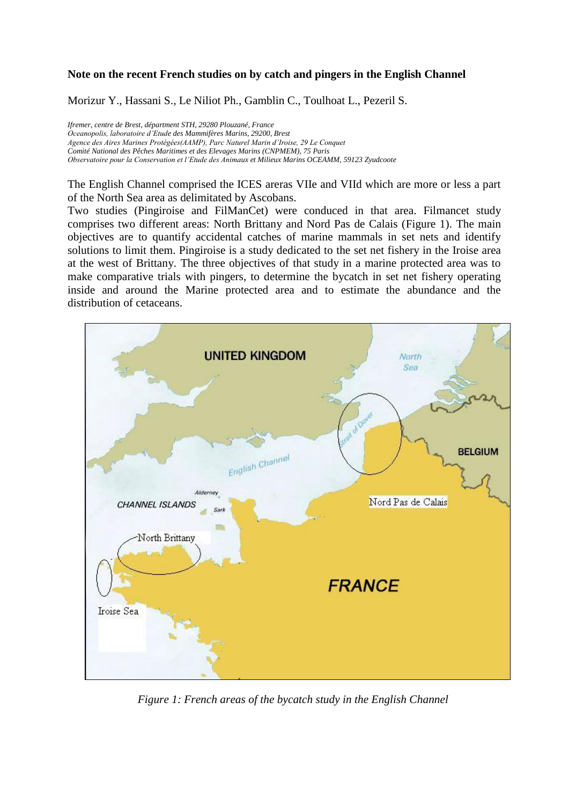# **Note on the recent French studies on by catch and pingers in the English Channel**

Morizur Y., Hassani S., Le Niliot Ph., Gamblin C., Toulhoat L., Pezeril S.

*Ifremer, centre de Brest, départment STH, 29280 Plouzané, France Oceanopolis, laboratoire d'Etude des Mammifères Marins, 29200, Brest Agence des Aires Marines Protégées(AAMP), Parc Naturel Marin d'Iroise, 29 Le Conquet Comité National des Pêches Maritimes et des Elevages Marins (CNPMEM), 75 Paris Observatoire pour la Conservation et l'Etude des Animaux et Milieux Marins OCEAMM, 59123 Zyudcoote*

The English Channel comprised the ICES areras VIIe and VIId which are more or less a part of the North Sea area as delimitated by Ascobans.

Two studies (Pingiroise and FilManCet) were conduced in that area. Filmancet study comprises two different areas: North Brittany and Nord Pas de Calais (Figure 1). The main objectives are to quantify accidental catches of marine mammals in set nets and identify solutions to limit them. Pingiroise is a study dedicated to the set net fishery in the Iroise area at the west of Brittany. The three objectives of that study in a marine protected area was to make comparative trials with pingers, to determine the bycatch in set net fishery operating inside and around the Marine protected area and to estimate the abundance and the distribution of cetaceans.



*Figure 1: French areas of the bycatch study in the English Channel*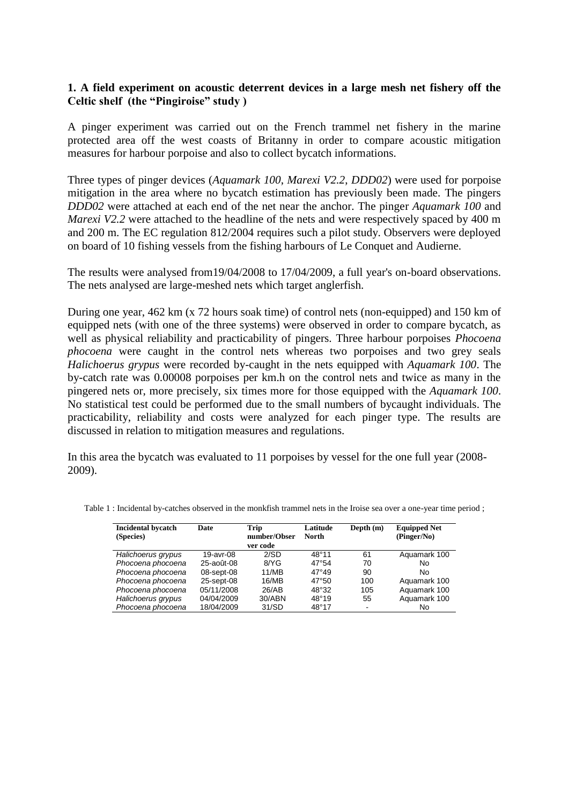# **1. A field experiment on acoustic deterrent devices in a large mesh net fishery off the Celtic shelf (the "Pingiroise" study )**

A pinger experiment was carried out on the French trammel net fishery in the marine protected area off the west coasts of Britanny in order to compare acoustic mitigation measures for harbour porpoise and also to collect bycatch informations.

Three types of pinger devices (*Aquamark 100*, *Marexi V2.2*, *DDD02*) were used for porpoise mitigation in the area where no bycatch estimation has previously been made. The pingers *DDD02* were attached at each end of the net near the anchor. The pinger *Aquamark 100* and *Marexi V2.2* were attached to the headline of the nets and were respectively spaced by 400 m and 200 m. The EC regulation 812/2004 requires such a pilot study. Observers were deployed on board of 10 fishing vessels from the fishing harbours of Le Conquet and Audierne.

The results were analysed from19/04/2008 to 17/04/2009, a full year's on-board observations. The nets analysed are large-meshed nets which target anglerfish.

During one year, 462 km (x 72 hours soak time) of control nets (non-equipped) and 150 km of equipped nets (with one of the three systems) were observed in order to compare bycatch, as well as physical reliability and practicability of pingers. Three harbour porpoises *Phocoena phocoena* were caught in the control nets whereas two porpoises and two grey seals *Halichoerus grypus* were recorded by-caught in the nets equipped with *Aquamark 100*. The by-catch rate was 0.00008 porpoises per km.h on the control nets and twice as many in the pingered nets or, more precisely, six times more for those equipped with the *Aquamark 100*. No statistical test could be performed due to the small numbers of bycaught individuals. The practicability, reliability and costs were analyzed for each pinger type. The results are discussed in relation to mitigation measures and regulations.

In this area the bycatch was evaluated to 11 porpoises by vessel for the one full year (2008- 2009).

| <b>Incidental bycatch</b> | Date             | Trip         | Latitude       | Depth $(m)$    | <b>Equipped Net</b> |  |
|---------------------------|------------------|--------------|----------------|----------------|---------------------|--|
| (Species)                 |                  | number/Obser | North          |                | (Pinger/No)         |  |
|                           |                  | ver code     |                |                |                     |  |
| Halichoerus grypus        | 19-avr-08        | 2/SD         | 48°11          | 61             | Aquamark 100        |  |
| Phocoena phocoena         | 25-août-08       | 8/YG         | $47^{\circ}54$ | 70             | No                  |  |
| Phocoena phocoena         | $08$ -sept- $08$ | 11/MB        | $47^\circ 49$  | 90             | No                  |  |
| Phocoena phocoena         | 25-sept-08       | 16/MB        | $47^{\circ}50$ | 100            | Aquamark 100        |  |
| Phocoena phocoena         | 05/11/2008       | 26/AB        | 48°32          | 105            | Aquamark 100        |  |
| Halichoerus grypus        | 04/04/2009       | 30/ABN       | $48^\circ 19$  | 55             | Aquamark 100        |  |
| Phocoena phocoena         | 18/04/2009       | 31/SD        | 48°17          | $\blacksquare$ | No                  |  |

Table 1 : Incidental by-catches observed in the monkfish trammel nets in the Iroise sea over a one-year time period ;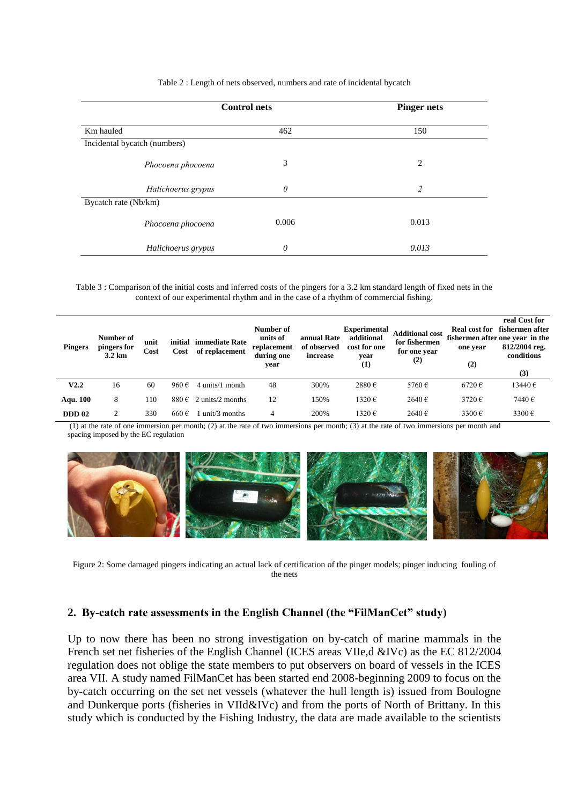|                              | <b>Control nets</b> | <b>Pinger nets</b> |  |  |
|------------------------------|---------------------|--------------------|--|--|
| Km hauled                    | 462                 | 150                |  |  |
| Incidental bycatch (numbers) |                     |                    |  |  |
| Phocoena phocoena            | 3                   | 2                  |  |  |
| Halichoerus grypus           | 0                   | $\overline{c}$     |  |  |
| Bycatch rate (Nb/km)         |                     |                    |  |  |
| Phocoena phocoena            | 0.006               | 0.013              |  |  |
| Halichoerus grypus           | 0                   | 0.013              |  |  |

#### Table 2 : Length of nets observed, numbers and rate of incidental bycatch

Table 3 : Comparison of the initial costs and inferred costs of the pingers for a 3.2 km standard length of fixed nets in the context of our experimental rhythm and in the case of a rhythm of commercial fishing.

| <b>Pingers</b>  | Number of<br>pingers for<br>3.2 km | unit<br>Cost | initial<br>Cost | immediate Rate<br>of replacement  | Number of<br>units of<br>replacement<br>during one<br>year | annual Rate<br>of observed<br>increase | <b>Experimental</b><br>additional<br>cost for one<br>year<br>$\bf(1)$ | <b>Additional cost</b><br>for fishermen<br>for one year<br>(2) | <b>Real cost for</b><br>one year<br>(2) | real Cost for<br>fishermen after<br>fishermen after one year in the<br>812/2004 reg.<br>conditions |
|-----------------|------------------------------------|--------------|-----------------|-----------------------------------|------------------------------------------------------------|----------------------------------------|-----------------------------------------------------------------------|----------------------------------------------------------------|-----------------------------------------|----------------------------------------------------------------------------------------------------|
|                 |                                    |              |                 |                                   |                                                            |                                        |                                                                       |                                                                |                                         | (3)                                                                                                |
| V2.2            | 16                                 | 60           | 960€            | $4 \text{ units}/1 \text{ month}$ | 48                                                         | 300%                                   | 2880€                                                                 | 5760€                                                          | $6720 \in$                              | 13440€                                                                                             |
| <b>Aqu. 100</b> | 8                                  | 110          |                 | $880 \in 2$ units/2 months        | 12                                                         | 150%                                   | $1320 \in$                                                            | 2640€                                                          | $3720 \in$                              | 7440€                                                                                              |
| <b>DDD</b> 02   | 2                                  | 330          | 660€            | unit/3 months                     | 4                                                          | 200%                                   | $1320 \in$                                                            | 2640€                                                          | 3300€                                   | 3300€                                                                                              |

(1) at the rate of one immersion per month; (2) at the rate of two immersions per month; (3) at the rate of two immersions per month and spacing imposed by the EC regulation



Figure 2: Some damaged pingers indicating an actual lack of certification of the pinger models; pinger inducing fouling of the nets

## **2. By-catch rate assessments in the English Channel (the "FilManCet" study)**

Up to now there has been no strong investigation on by-catch of marine mammals in the French set net fisheries of the English Channel (ICES areas VIIe,d &IVc) as the EC 812/2004 regulation does not oblige the state members to put observers on board of vessels in the ICES area VII. A study named FilManCet has been started end 2008-beginning 2009 to focus on the by-catch occurring on the set net vessels (whatever the hull length is) issued from Boulogne and Dunkerque ports (fisheries in VIId&IVc) and from the ports of North of Brittany. In this study which is conducted by the Fishing Industry, the data are made available to the scientists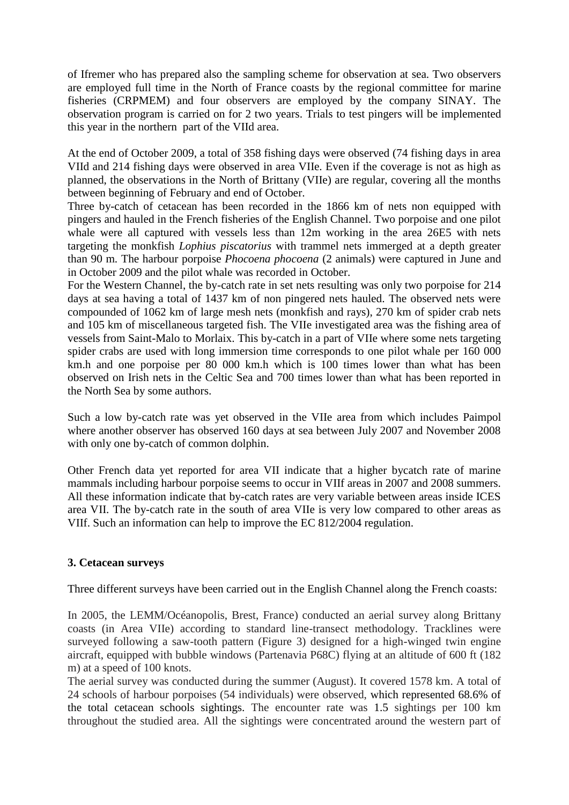of Ifremer who has prepared also the sampling scheme for observation at sea. Two observers are employed full time in the North of France coasts by the regional committee for marine fisheries (CRPMEM) and four observers are employed by the company SINAY. The observation program is carried on for 2 two years. Trials to test pingers will be implemented this year in the northern part of the VIId area.

At the end of October 2009, a total of 358 fishing days were observed (74 fishing days in area VIId and 214 fishing days were observed in area VIIe. Even if the coverage is not as high as planned, the observations in the North of Brittany (VIIe) are regular, covering all the months between beginning of February and end of October.

Three by-catch of cetacean has been recorded in the 1866 km of nets non equipped with pingers and hauled in the French fisheries of the English Channel. Two porpoise and one pilot whale were all captured with vessels less than 12m working in the area 26E5 with nets targeting the monkfish *Lophius piscatorius* with trammel nets immerged at a depth greater than 90 m*.* The harbour porpoise *Phocoena phocoena* (2 animals) were captured in June and in October 2009 and the pilot whale was recorded in October.

For the Western Channel, the by-catch rate in set nets resulting was only two porpoise for 214 days at sea having a total of 1437 km of non pingered nets hauled. The observed nets were compounded of 1062 km of large mesh nets (monkfish and rays), 270 km of spider crab nets and 105 km of miscellaneous targeted fish. The VIIe investigated area was the fishing area of vessels from Saint-Malo to Morlaix. This by-catch in a part of VIIe where some nets targeting spider crabs are used with long immersion time corresponds to one pilot whale per 160 000 km.h and one porpoise per 80 000 km.h which is 100 times lower than what has been observed on Irish nets in the Celtic Sea and 700 times lower than what has been reported in the North Sea by some authors.

Such a low by-catch rate was yet observed in the VIIe area from which includes Paimpol where another observer has observed 160 days at sea between July 2007 and November 2008 with only one by-catch of common dolphin.

Other French data yet reported for area VII indicate that a higher bycatch rate of marine mammals including harbour porpoise seems to occur in VIIf areas in 2007 and 2008 summers. All these information indicate that by-catch rates are very variable between areas inside ICES area VII. The by-catch rate in the south of area VIIe is very low compared to other areas as VIIf. Such an information can help to improve the EC 812/2004 regulation.

## **3. Cetacean surveys**

Three different surveys have been carried out in the English Channel along the French coasts:

In 2005, the LEMM/Océanopolis, Brest, France) conducted an aerial survey along Brittany coasts (in Area VIIe) according to standard line-transect methodology. Tracklines were surveyed following a saw-tooth pattern (Figure 3) designed for a high-winged twin engine aircraft, equipped with bubble windows (Partenavia P68C) flying at an altitude of 600 ft (182 m) at a speed of 100 knots.

The aerial survey was conducted during the summer (August). It covered 1578 km. A total of 24 schools of harbour porpoises (54 individuals) were observed, which represented 68.6% of the total cetacean schools sightings. The encounter rate was 1.5 sightings per 100 km throughout the studied area. All the sightings were concentrated around the western part of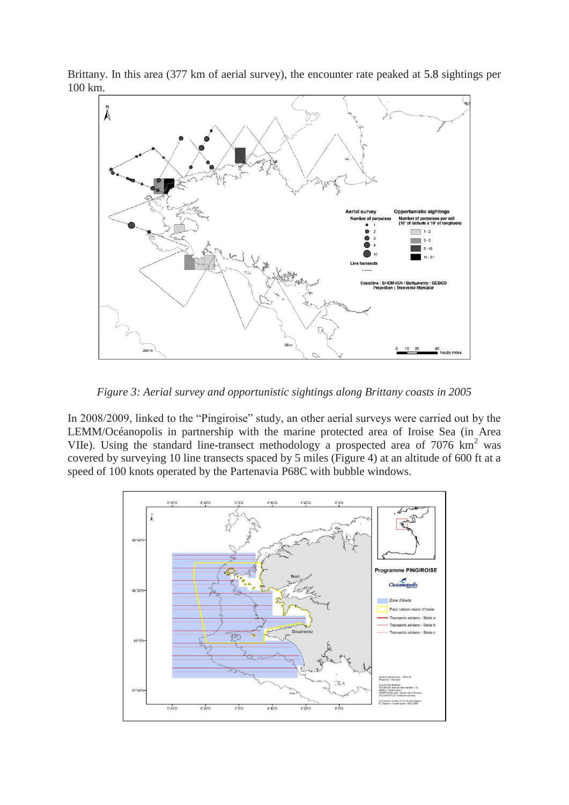Brittany. In this area (377 km of aerial survey), the encounter rate peaked at 5.8 sightings per 100 km.



*Figure 3: Aerial survey and opportunistic sightings along Brittany coasts in 2005*

In 2008/2009, linked to the "Pingiroise" study, an other aerial surveys were carried out by the LEMM/Océanopolis in partnership with the marine protected area of Iroise Sea (in Area VIIe). Using the standard line-transect methodology a prospected area of 7076 km<sup>2</sup> was covered by surveying 10 line transects spaced by 5 miles (Figure 4) at an altitude of 600 ft at a speed of 100 knots operated by the Partenavia P68C with bubble windows.

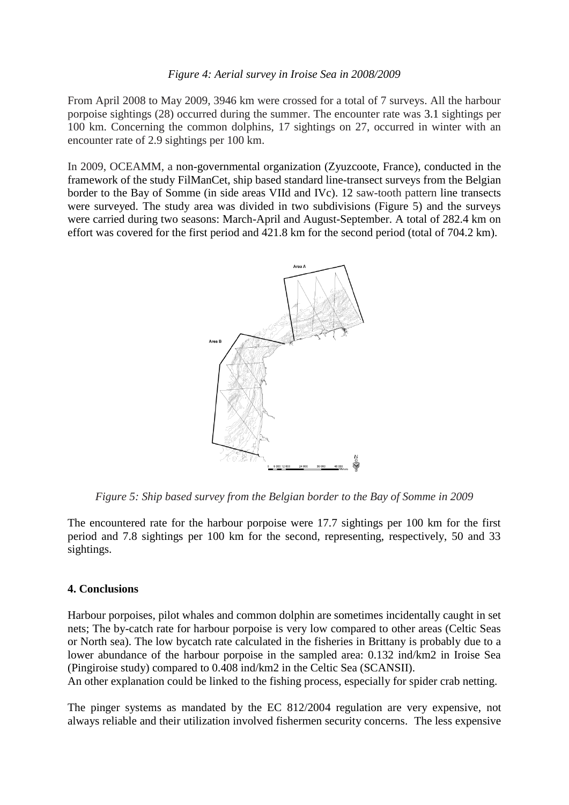From April 2008 to May 2009, 3946 km were crossed for a total of 7 surveys. All the harbour porpoise sightings (28) occurred during the summer. The encounter rate was 3.1 sightings per 100 km. Concerning the common dolphins, 17 sightings on 27, occurred in winter with an encounter rate of 2.9 sightings per 100 km.

In 2009, OCEAMM, a non-governmental organization (Zyuzcoote, France), conducted in the framework of the study FilManCet, ship based standard line-transect surveys from the Belgian border to the Bay of Somme (in side areas VIId and IVc). 12 saw-tooth pattern line transects were surveyed. The study area was divided in two subdivisions (Figure 5) and the surveys were carried during two seasons: March-April and August-September. A total of 282.4 km on effort was covered for the first period and 421.8 km for the second period (total of 704.2 km).



*Figure 5: Ship based survey from the Belgian border to the Bay of Somme in 2009*

The encountered rate for the harbour porpoise were 17.7 sightings per 100 km for the first period and 7.8 sightings per 100 km for the second, representing, respectively, 50 and 33 sightings.

# **4. Conclusions**

Harbour porpoises, pilot whales and common dolphin are sometimes incidentally caught in set nets; The by-catch rate for harbour porpoise is very low compared to other areas (Celtic Seas or North sea). The low bycatch rate calculated in the fisheries in Brittany is probably due to a lower abundance of the harbour porpoise in the sampled area: 0.132 ind/km2 in Iroise Sea (Pingiroise study) compared to 0.408 ind/km2 in the Celtic Sea (SCANSII).

An other explanation could be linked to the fishing process, especially for spider crab netting.

The pinger systems as mandated by the EC 812/2004 regulation are very expensive, not always reliable and their utilization involved fishermen security concerns. The less expensive